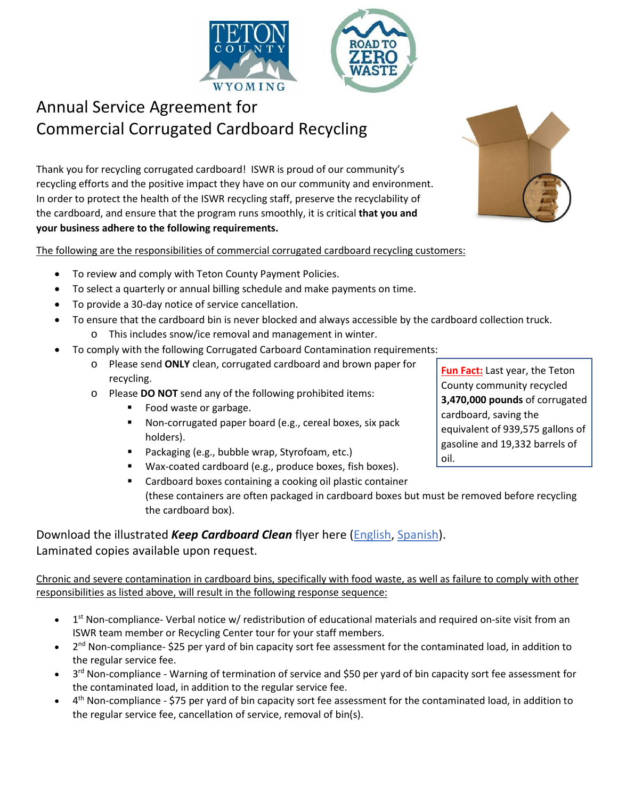

# Annual Service Agreement for Commercial Corrugated Cardboard Recycling

Thank you for recycling corrugated cardboard! ISWR is proud of our community's recycling efforts and the positive impact they have on our community and environment. In order to protect the health of the ISWR recycling staff, preserve the recyclability of the cardboard, and ensure that the program runs smoothly, it is critical **that you and your business adhere to the following requirements.** 

The following are the responsibilities of commercial corrugated cardboard recycling customers:

- To review and comply with Teton County Payment Policies.
- To select a quarterly or annual billing schedule and make payments on time.
- To provide a 30-day notice of service cancellation.
- To ensure that the cardboard bin is never blocked and always accessible by the cardboard collection truck.
	- o This includes snow/ice removal and management in winter.
- To comply with the following Corrugated Carboard Contamination requirements:
	- o Please send **ONLY** clean, corrugated cardboard and brown paper for recycling.
	- o Please **DO NOT** send any of the following prohibited items:
		- Food waste or garbage.
		- **Non-corrugated paper board (e.g., cereal boxes, six pack** holders).
		- **Packaging (e.g., bubble wrap, Styrofoam, etc.)**
		- Wax-coated cardboard (e.g., produce boxes, fish boxes).
		- Cardboard boxes containing a cooking oil plastic container (these containers are often packaged in cardboard boxes but must be removed before recycling the cardboard box).

### Download the illustrated *Keep Cardboard Clean* flyer here [\(English,](http://tetoncountywy.gov/DocumentCenter/View/4972/Cardboard-Reminder-Oct-2017?bidId=) [Spanish\)](http://tetoncountywy.gov/DocumentCenter/View/7432). Laminated copies available upon request.

#### Chronic and severe contamination in cardboard bins, specifically with food waste, as well as failure to comply with other responsibilities as listed above, will result in the following response sequence:

- $\bullet$  1<sup>st</sup> Non-compliance- Verbal notice w/ redistribution of educational materials and required on-site visit from an ISWR team member or Recycling Center tour for your staff members.
- 2<sup>nd</sup> Non-compliance- \$25 per yard of bin capacity sort fee assessment for the contaminated load, in addition to the regular service fee.
- 3<sup>rd</sup> Non-compliance Warning of termination of service and \$50 per yard of bin capacity sort fee assessment for the contaminated load, in addition to the regular service fee.
- $4<sup>th</sup>$  Non-compliance \$75 per yard of bin capacity sort fee assessment for the contaminated load, in addition to the regular service fee, cancellation of service, removal of bin(s).



**Fun Fact:** Last year, the Teton County community recycled **3,470,000 pounds** of corrugated cardboard, saving the equivalent of 939,575 gallons of gasoline and 19,332 barrels of oil.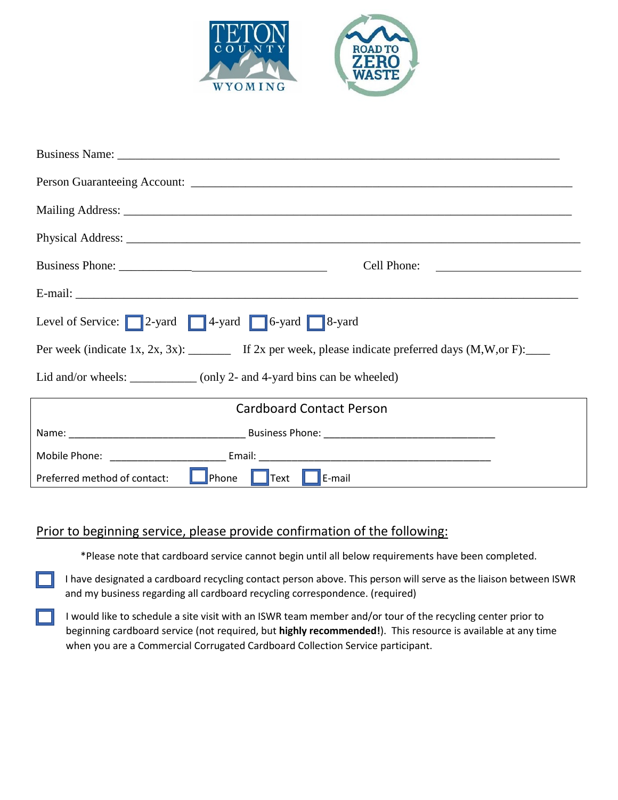

| Cell Phone:                                                                                  |  |  |
|----------------------------------------------------------------------------------------------|--|--|
|                                                                                              |  |  |
| Level of Service: 2-yard 4-yard 6-yard 8-yard 8-yard                                         |  |  |
| Per week (indicate 1x, 2x, 3x): If 2x per week, please indicate preferred days (M, W, or F): |  |  |
| Lid and/or wheels: __________ (only 2- and 4-yard bins can be wheeled)                       |  |  |
| <b>Cardboard Contact Person</b>                                                              |  |  |
|                                                                                              |  |  |
|                                                                                              |  |  |
| <b>D</b> Phone Text <b>P</b> E-mail<br>Preferred method of contact:                          |  |  |

### Prior to beginning service, please provide confirmation of the following:

\*Please note that cardboard service cannot begin until all below requirements have been completed.

I have designated a cardboard recycling contact person above. This person will serve as the liaison between ISWR and my business regarding all cardboard recycling correspondence. (required)

I would like to schedule a site visit with an ISWR team member and/or tour of the recycling center prior to beginning cardboard service (not required, but **highly recommended!**). This resource is available at any time when you are a Commercial Corrugated Cardboard Collection Service participant.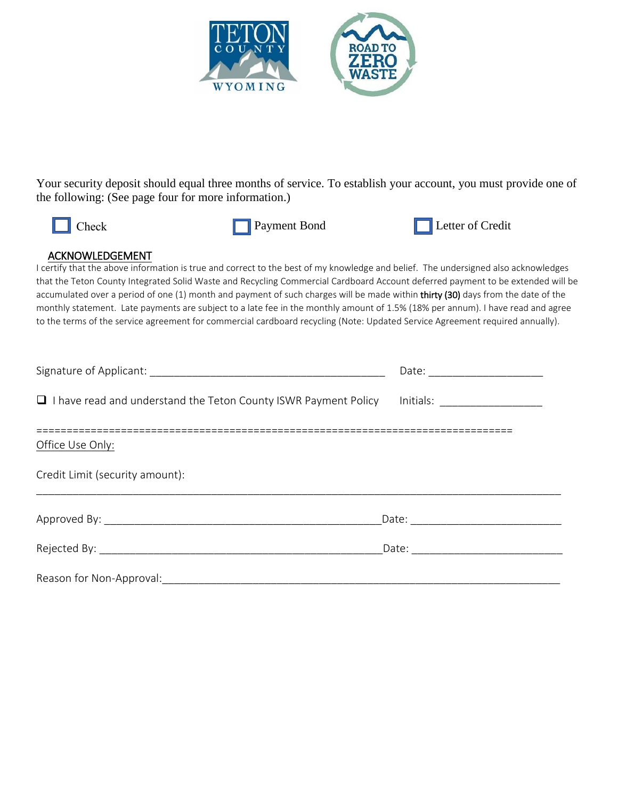

Your security deposit should equal three months of service. To establish your account, you must provide one of the following: (See page four for more information.)





#### ACKNOWLEDGEMENT

I certify that the above information is true and correct to the best of my knowledge and belief. The undersigned also acknowledges that the Teton County Integrated Solid Waste and Recycling Commercial Cardboard Account deferred payment to be extended will be accumulated over a period of one (1) month and payment of such charges will be made within thirty (30) days from the date of the monthly statement. Late payments are subject to a late fee in the monthly amount of 1.5% (18% per annum). I have read and agree to the terms of the service agreement for commercial cardboard recycling (Note: Updated Service Agreement required annually).

| I I have read and understand the Teton County ISWR Payment Policy Initials: ________________________ |  |
|------------------------------------------------------------------------------------------------------|--|
| Office Use Only:                                                                                     |  |
| Credit Limit (security amount):                                                                      |  |
|                                                                                                      |  |
|                                                                                                      |  |
| Reason for Non-Approval:                                                                             |  |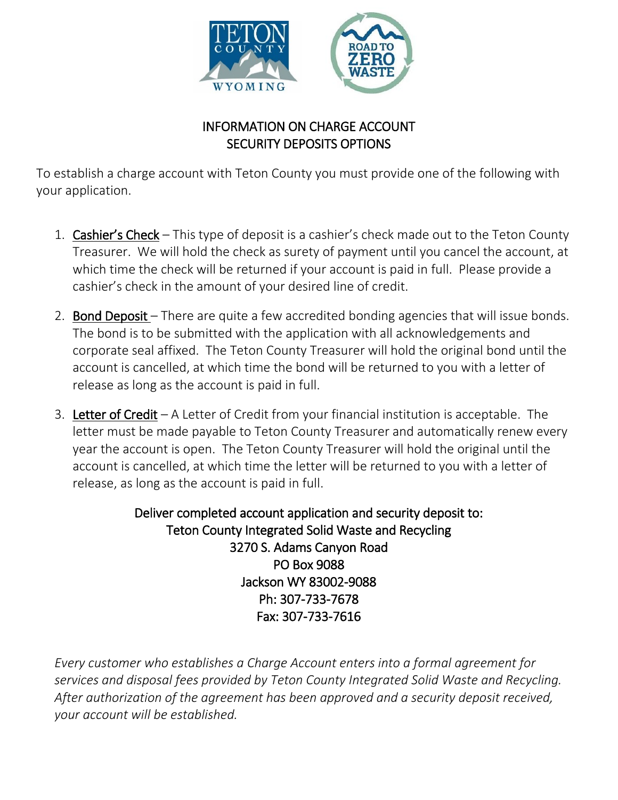

# INFORMATION ON CHARGE ACCOUNT SECURITY DEPOSITS OPTIONS

To establish a charge account with Teton County you must provide one of the following with your application.

- 1. Cashier's Check This type of deposit is a cashier's check made out to the Teton County Treasurer. We will hold the check as surety of payment until you cancel the account, at which time the check will be returned if your account is paid in full. Please provide a cashier's check in the amount of your desired line of credit.
- 2. **Bond Deposit** There are quite a few accredited bonding agencies that will issue bonds. The bond is to be submitted with the application with all acknowledgements and corporate seal affixed. The Teton County Treasurer will hold the original bond until the account is cancelled, at which time the bond will be returned to you with a letter of release as long as the account is paid in full.
- 3. Letter of Credit  $-A$  Letter of Credit from your financial institution is acceptable. The letter must be made payable to Teton County Treasurer and automatically renew every year the account is open. The Teton County Treasurer will hold the original until the account is cancelled, at which time the letter will be returned to you with a letter of release, as long as the account is paid in full.

Deliver completed account application and security deposit to: Teton County Integrated Solid Waste and Recycling 3270 S. Adams Canyon Road PO Box 9088 Jackson WY 83002-9088 Ph: 307-733-7678 Fax: 307-733-7616

*Every customer who establishes a Charge Account enters into a formal agreement for services and disposal fees provided by Teton County Integrated Solid Waste and Recycling. After authorization of the agreement has been approved and a security deposit received, your account will be established.*